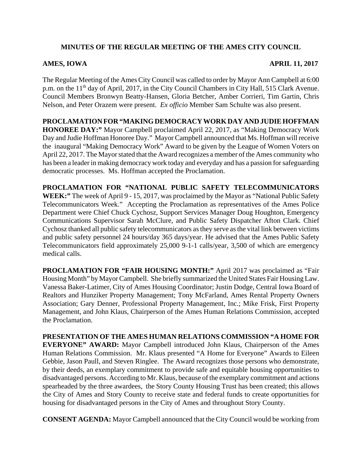## **MINUTES OF THE REGULAR MEETING OF THE AMES CITY COUNCIL**

## **AMES, IOWA APRIL 11, 2017**

The Regular Meeting of the Ames City Council was called to order by Mayor Ann Campbell at 6:00 p.m. on the 11<sup>th</sup> day of April, 2017, in the City Council Chambers in City Hall, 515 Clark Avenue. Council Members Bronwyn Beatty-Hansen, Gloria Betcher, Amber Corrieri, Tim Gartin, Chris Nelson, and Peter Orazem were present. *Ex officio* Member Sam Schulte was also present.

**PROCLAMATION FOR "MAKING DEMOCRACY WORK DAY AND JUDIE HOFFMAN HONOREE DAY:"** Mayor Campbell proclaimed April 22, 2017, as "Making Democracy Work Day and Judie Hoffman Honoree Day." Mayor Campbell announced that Ms. Hoffman will receive the inaugural "Making Democracy Work" Award to be given by the League of Women Voters on April 22, 2017. The Mayor stated that the Award recognizes a member of the Ames community who has been a leader in making democracy work today and everyday and has a passion for safeguarding democratic processes. Ms. Hoffman accepted the Proclamation.

**PROCLAMATION FOR "NATIONAL PUBLIC SAFETY TELECOMMUNICATORS WEEK:"** The week of April 9 - 15, 2017, was proclaimed by the Mayor as "National Public Safety Telecommunicators Week." Accepting the Proclamation as representatives of the Ames Police Department were Chief Chuck Cychosz, Support Services Manager Doug Houghton, Emergency Communications Supervisor Sarah McClure, and Public Safety Dispatcher Afton Clark. Chief Cychosz thanked all public safety telecommunicators as they serve as the vital link between victims and public safety personnel 24 hours/day 365 days/year. He advised that the Ames Public Safety Telecommunicators field approximately 25,000 9-1-1 calls/year, 3,500 of which are emergency medical calls.

**PROCLAMATION FOR "FAIR HOUSING MONTH:"** April 2017 was proclaimed as "Fair Housing Month" by Mayor Campbell. She briefly summarized the United States Fair Housing Law. Vanessa Baker-Latimer, City of Ames Housing Coordinator; Justin Dodge, Central Iowa Board of Realtors and Hunziker Property Management; Tony McFarland, Ames Rental Property Owners Association; Gary Denner, Professional Property Management, Inc.; Mike Frisk, First Property Management, and John Klaus, Chairperson of the Ames Human Relations Commission, accepted the Proclamation.

**PRESENTATION OF THE AMES HUMAN RELATIONS COMMISSION "A HOME FOR EVERYONE" AWARD:** Mayor Campbell introduced John Klaus, Chairperson of the Ames Human Relations Commission. Mr. Klaus presented "A Home for Everyone" Awards to Eileen Gebbie, Jason Paull, and Steven Ringlee. The Award recognizes those persons who demonstrate, by their deeds, an exemplary commitment to provide safe and equitable housing opportunities to disadvantaged persons. According to Mr. Klaus, because of the exemplary commitment and actions spearheaded by the three awardees, the Story County Housing Trust has been created; this allows the City of Ames and Story County to receive state and federal funds to create opportunities for housing for disadvantaged persons in the City of Ames and throughout Story County.

**CONSENT AGENDA:** Mayor Campbell announced that the City Council would be working from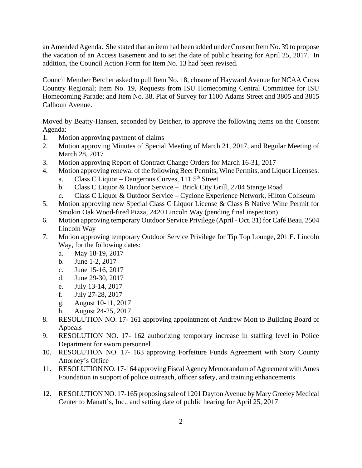an Amended Agenda. She stated that an item had been added under Consent Item No. 39 to propose the vacation of an Access Easement and to set the date of public hearing for April 25, 2017. In addition, the Council Action Form for Item No. 13 had been revised.

Council Member Betcher asked to pull Item No. 18, closure of Hayward Avenue for NCAA Cross Country Regional; Item No. 19, Requests from ISU Homecoming Central Committee for ISU Homecoming Parade; and Item No. 38, Plat of Survey for 1100 Adams Street and 3805 and 3815 Calhoun Avenue.

Moved by Beatty-Hansen, seconded by Betcher, to approve the following items on the Consent Agenda:

- 1. Motion approving payment of claims
- 2. Motion approving Minutes of Special Meeting of March 21, 2017, and Regular Meeting of March 28, 2017
- 3. Motion approving Report of Contract Change Orders for March 16-31, 2017
- 4. Motion approving renewal of the following Beer Permits, Wine Permits, and Liquor Licenses:
	- a. Class C Liquor Dangerous Curves,  $1115<sup>th</sup>$  Street
	- b. Class C Liquor & Outdoor Service Brick City Grill, 2704 Stange Road
	- c. Class C Liquor & Outdoor Service Cyclone Experience Network, Hilton Coliseum
- 5. Motion approving new Special Class C Liquor License & Class B Native Wine Permit for Smokin Oak Wood-fired Pizza, 2420 Lincoln Way (pending final inspection)
- 6. Motion approving temporary Outdoor Service Privilege (April Oct. 31) for Café Beau, 2504 Lincoln Way
- 7. Motion approving temporary Outdoor Service Privilege for Tip Top Lounge, 201 E. Lincoln Way, for the following dates:
	- a. May 18-19, 2017
	- b. June 1-2, 2017
	- c. June 15-16, 2017
	- d. June 29-30, 2017
	- e. July 13-14, 2017
	- f. July 27-28, 2017
	- g. August 10-11, 2017
	- h. August 24-25, 2017
- 8. RESOLUTION NO. 17- 161 approving appointment of Andrew Mott to Building Board of Appeals
- 9. RESOLUTION NO. 17- 162 authorizing temporary increase in staffing level in Police Department for sworn personnel
- 10. RESOLUTION NO. 17- 163 approving Forfeiture Funds Agreement with Story County Attorney's Office
- 11. RESOLUTION NO. 17-164 approving Fiscal Agency Memorandum of Agreement with Ames Foundation in support of police outreach, officer safety, and training enhancements
- 12. RESOLUTION NO. 17-165 proposing sale of 1201 Dayton Avenue by Mary Greeley Medical Center to Manatt's, Inc., and setting date of public hearing for April 25, 2017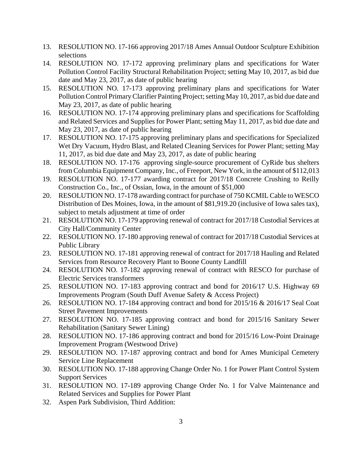- 13. RESOLUTION NO. 17-166 approving 2017/18 Ames Annual Outdoor Sculpture Exhibition selections
- 14. RESOLUTION NO. 17-172 approving preliminary plans and specifications for Water Pollution Control Facility Structural Rehabilitation Project; setting May 10, 2017, as bid due date and May 23, 2017, as date of public hearing
- 15. RESOLUTION NO. 17-173 approving preliminary plans and specifications for Water Pollution Control Primary Clarifier Painting Project; setting May 10, 2017, as bid due date and May 23, 2017, as date of public hearing
- 16. RESOLUTION NO. 17-174 approving preliminary plans and specifications for Scaffolding and Related Services and Supplies for Power Plant; setting May 11, 2017, as bid due date and May 23, 2017, as date of public hearing
- 17. RESOLUTION NO. 17-175 approving preliminary plans and specifications for Specialized Wet Dry Vacuum, Hydro Blast, and Related Cleaning Services for Power Plant; setting May 11, 2017, as bid due date and May 23, 2017, as date of public hearing
- 18. RESOLUTION NO. 17-176 approving single-source procurement of CyRide bus shelters from Columbia Equipment Company, Inc., of Freeport, New York, in the amount of \$112,013
- 19. RESOLUTION NO. 17-177 awarding contract for 2017/18 Concrete Crushing to Reilly Construction Co., Inc., of Ossian, Iowa, in the amount of \$51,000
- 20. RESOLUTION NO. 17-178 awarding contract for purchase of 750 KCMIL Cable to WESCO Distribution of Des Moines, Iowa, in the amount of \$81,919.20 (inclusive of Iowa sales tax), subject to metals adjustment at time of order
- 21. RESOLUTION NO. 17-179 approving renewal of contract for 2017/18 Custodial Services at City Hall/Community Center
- 22. RESOLUTION NO. 17-180 approving renewal of contract for 2017/18 Custodial Services at Public Library
- 23. RESOLUTION NO. 17-181 approving renewal of contract for 2017/18 Hauling and Related Services from Resource Recovery Plant to Boone County Landfill
- 24. RESOLUTION NO. 17-182 approving renewal of contract with RESCO for purchase of Electric Services transformers
- 25. RESOLUTION NO. 17-183 approving contract and bond for 2016/17 U.S. Highway 69 Improvements Program (South Duff Avenue Safety & Access Project)
- 26. RESOLUTION NO. 17-184 approving contract and bond for 2015/16 & 2016/17 Seal Coat Street Pavement Improvements
- 27. RESOLUTION NO. 17-185 approving contract and bond for 2015/16 Sanitary Sewer Rehabilitation (Sanitary Sewer Lining)
- 28. RESOLUTION NO. 17-186 approving contract and bond for 2015/16 Low-Point Drainage Improvement Program (Westwood Drive)
- 29. RESOLUTION NO. 17-187 approving contract and bond for Ames Municipal Cemetery Service Line Replacement
- 30. RESOLUTION NO. 17-188 approving Change Order No. 1 for Power Plant Control System Support Services
- 31. RESOLUTION NO. 17-189 approving Change Order No. 1 for Valve Maintenance and Related Services and Supplies for Power Plant
- 32. Aspen Park Subdivision, Third Addition: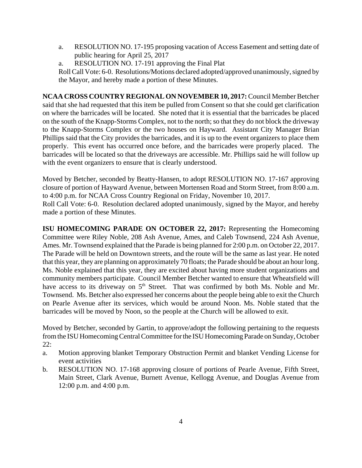- a. RESOLUTION NO. 17-195 proposing vacation of Access Easement and setting date of public hearing for April 25, 2017
- a. RESOLUTION NO. 17-191 approving the Final Plat

Roll Call Vote: 6-0. Resolutions/Motions declared adopted/approved unanimously, signed by the Mayor, and hereby made a portion of these Minutes.

**NCAA CROSS COUNTRY REGIONAL ON NOVEMBER 10, 2017:** Council Member Betcher said that she had requested that this item be pulled from Consent so that she could get clarification on where the barricades will be located. She noted that it is essential that the barricades be placed on the south of the Knapp-Storms Complex, not to the north; so that they do not block the driveway to the Knapp-Storms Complex or the two houses on Hayward. Assistant City Manager Brian Phillips said that the City provides the barricades, and it is up to the event organizers to place them properly. This event has occurred once before, and the barricades were properly placed. The barricades will be located so that the driveways are accessible. Mr. Phillips said he will follow up with the event organizers to ensure that is clearly understood.

Moved by Betcher, seconded by Beatty-Hansen, to adopt RESOLUTION NO. 17-167 approving closure of portion of Hayward Avenue, between Mortensen Road and Storm Street, from 8:00 a.m. to 4:00 p.m. for NCAA Cross Country Regional on Friday, November 10, 2017.

Roll Call Vote: 6-0. Resolution declared adopted unanimously, signed by the Mayor, and hereby made a portion of these Minutes.

**ISU HOMECOMING PARADE ON OCTOBER 22, 2017:** Representing the Homecoming Committee were Riley Noble, 208 Ash Avenue, Ames, and Caleb Townsend, 224 Ash Avenue, Ames. Mr. Townsend explained that the Parade is being planned for 2:00 p.m. on October 22, 2017. The Parade will be held on Downtown streets, and the route will be the same as last year. He noted that this year, they are planning on approximately 70 floats; the Parade should be about an hour long. Ms. Noble explained that this year, they are excited about having more student organizations and community members participate. Council Member Betcher wanted to ensure that Wheatsfield will have access to its driveway on  $5<sup>th</sup>$  Street. That was confirmed by both Ms. Noble and Mr. Townsend. Ms. Betcher also expressed her concerns about the people being able to exit the Church on Pearle Avenue after its services, which would be around Noon. Ms. Noble stated that the barricades will be moved by Noon, so the people at the Church will be allowed to exit.

Moved by Betcher, seconded by Gartin, to approve/adopt the following pertaining to the requests from the ISU Homecoming Central Committee for the ISU Homecoming Parade on Sunday, October 22:

- a. Motion approving blanket Temporary Obstruction Permit and blanket Vending License for event activities
- b. RESOLUTION NO. 17-168 approving closure of portions of Pearle Avenue, Fifth Street, Main Street, Clark Avenue, Burnett Avenue, Kellogg Avenue, and Douglas Avenue from 12:00 p.m. and 4:00 p.m.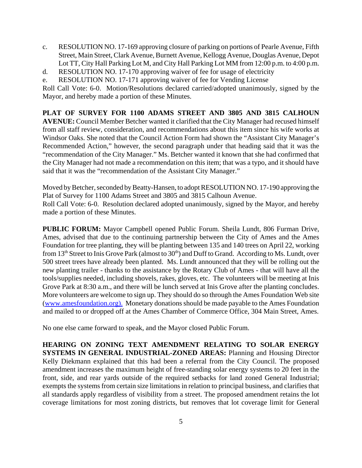- c. RESOLUTION NO. 17-169 approving closure of parking on portions of Pearle Avenue, Fifth Street, Main Street, Clark Avenue, Burnett Avenue, Kellogg Avenue, Douglas Avenue, Depot Lot TT, City Hall Parking Lot M, and City Hall Parking Lot MM from 12:00 p.m. to 4:00 p.m.
- d. RESOLUTION NO. 17-170 approving waiver of fee for usage of electricity
- e. RESOLUTION NO. 17-171 approving waiver of fee for Vending License

Roll Call Vote: 6-0. Motion/Resolutions declared carried/adopted unanimously, signed by the Mayor, and hereby made a portion of these Minutes.

**PLAT OF SURVEY FOR 1100 ADAMS STREET AND 3805 AND 3815 CALHOUN AVENUE:** Council Member Betcher wanted it clarified that the City Manager had recused himself from all staff review, consideration, and recommendations about this item since his wife works at Windsor Oaks. She noted that the Council Action Form had shown the "Assistant City Manager's Recommended Action," however, the second paragraph under that heading said that it was the "recommendation of the City Manager." Ms. Betcher wanted it known that she had confirmed that the City Manager had not made a recommendation on this item; that was a typo, and it should have said that it was the "recommendation of the Assistant City Manager."

Moved by Betcher, seconded by Beatty-Hansen, to adopt RESOLUTION NO. 17-190 approving the Plat of Survey for 1100 Adams Street and 3805 and 3815 Calhoun Avenue. Roll Call Vote: 6-0. Resolution declared adopted unanimously, signed by the Mayor, and hereby made a portion of these Minutes.

**PUBLIC FORUM:** Mayor Campbell opened Public Forum. Sheila Lundt, 806 Furman Drive, Ames, advised that due to the continuing partnership between the City of Ames and the Ames Foundation for tree planting, they will be planting between 135 and 140 trees on April 22, working from 13<sup>th</sup> Street to Inis Grove Park (almost to 30<sup>th</sup>) and Duff to Grand. According to Ms. Lundt, over 500 street trees have already been planted. Ms. Lundt announced that they will be rolling out the new planting trailer - thanks to the assistance by the Rotary Club of Ames - that will have all the tools/supplies needed, including shovels, rakes, gloves, etc. The volunteers will be meeting at Inis Grove Park at 8:30 a.m., and there will be lunch served at Inis Grove after the planting concludes. More volunteers are welcome to sign up. They should do so through the Ames Foundation Web site (www.amesfoundation.org). Monetary donations should be made payable to the Ames Foundation and mailed to or dropped off at the Ames Chamber of Commerce Office, 304 Main Street, Ames.

No one else came forward to speak, and the Mayor closed Public Forum.

**HEARING ON ZONING TEXT AMENDMENT RELATING TO SOLAR ENERGY SYSTEMS IN GENERAL INDUSTRIAL-ZONED AREAS:** Planning and Housing Director Kelly Diekmann explained that this had been a referral from the City Council. The proposed amendment increases the maximum height of free-standing solar energy systems to 20 feet in the front, side, and rear yards outside of the required setbacks for land zoned General Industrial; exempts the systems from certain size limitations in relation to principal business, and clarifies that all standards apply regardless of visibility from a street. The proposed amendment retains the lot coverage limitations for most zoning districts, but removes that lot coverage limit for General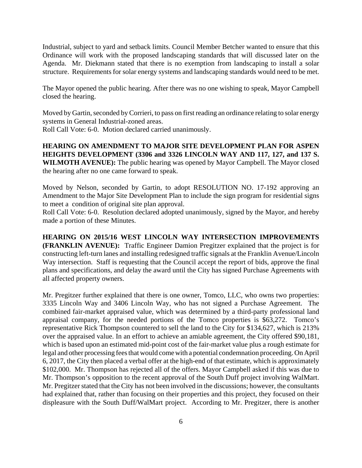Industrial, subject to yard and setback limits. Council Member Betcher wanted to ensure that this Ordinance will work with the proposed landscaping standards that will discussed later on the Agenda. Mr. Diekmann stated that there is no exemption from landscaping to install a solar structure. Requirements for solar energy systems and landscaping standards would need to be met.

The Mayor opened the public hearing. After there was no one wishing to speak, Mayor Campbell closed the hearing.

Moved by Gartin, seconded by Corrieri, to pass on first reading an ordinance relating to solar energy systems in General Industrial-zoned areas.

Roll Call Vote: 6-0. Motion declared carried unanimously.

**HEARING ON AMENDMENT TO MAJOR SITE DEVELOPMENT PLAN FOR ASPEN HEIGHTS DEVELOPMENT (3306 and 3326 LINCOLN WAY AND 117, 127, and 137 S. WILMOTH AVENUE):** The public hearing was opened by Mayor Campbell. The Mayor closed the hearing after no one came forward to speak.

Moved by Nelson, seconded by Gartin, to adopt RESOLUTION NO. 17-192 approving an Amendment to the Major Site Development Plan to include the sign program for residential signs to meet a condition of original site plan approval.

Roll Call Vote: 6-0. Resolution declared adopted unanimously, signed by the Mayor, and hereby made a portion of these Minutes.

**HEARING ON 2015/16 WEST LINCOLN WAY INTERSECTION IMPROVEMENTS (FRANKLIN AVENUE):** Traffic Engineer Damion Pregitzer explained that the project is for constructing left-turn lanes and installing redesigned traffic signals at the Franklin Avenue/Lincoln Way intersection. Staff is requesting that the Council accept the report of bids, approve the final plans and specifications, and delay the award until the City has signed Purchase Agreements with all affected property owners.

Mr. Pregitzer further explained that there is one owner, Tomco, LLC, who owns two properties: 3335 Lincoln Way and 3406 Lincoln Way, who has not signed a Purchase Agreement. The combined fair-market appraised value, which was determined by a third-party professional land appraisal company, for the needed portions of the Tomco properties is \$63,272. Tomco's representative Rick Thompson countered to sell the land to the City for \$134,627, which is 213% over the appraised value. In an effort to achieve an amiable agreement, the City offered \$90,181, which is based upon an estimated mid-point cost of the fair-market value plus a rough estimate for legal and other processing fees that would come with a potential condemnation proceeding. On April 6, 2017, the City then placed a verbal offer at the high-end of that estimate, which is approximately \$102,000. Mr. Thompson has rejected all of the offers. Mayor Campbell asked if this was due to Mr. Thompson's opposition to the recent approval of the South Duff project involving WalMart. Mr. Pregitzer stated that the City has not been involved in the discussions; however, the consultants had explained that, rather than focusing on their properties and this project, they focused on their displeasure with the South Duff/WalMart project. According to Mr. Pregitzer, there is another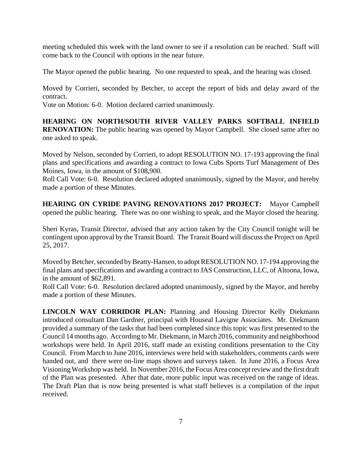meeting scheduled this week with the land owner to see if a resolution can be reached. Staff will come back to the Council with options in the near future.

The Mayor opened the public hearing. No one requested to speak, and the hearing was closed.

Moved by Corrieri, seconded by Betcher, to accept the report of bids and delay award of the contract.

Vote on Motion: 6-0. Motion declared carried unanimously.

**HEARING ON NORTH/SOUTH RIVER VALLEY PARKS SOFTBALL INFIELD RENOVATION:** The public hearing was opened by Mayor Campbell. She closed same after no one asked to speak.

Moved by Nelson, seconded by Corrieri, to adopt RESOLUTION NO. 17-193 approving the final plans and specifications and awarding a contract to Iowa Cubs Sports Turf Management of Des Moines, Iowa, in the amount of \$108,900.

Roll Call Vote: 6-0. Resolution declared adopted unanimously, signed by the Mayor, and hereby made a portion of these Minutes.

**HEARING ON CYRIDE PAVING RENOVATIONS 2017 PROJECT:** Mayor Campbell opened the public hearing. There was no one wishing to speak, and the Mayor closed the hearing.

Sheri Kyras, Transit Director, advised that any action taken by the City Council tonight will be contingent upon approval by the Transit Board. The Transit Board will discuss the Project on April 25, 2017.

Moved by Betcher, seconded by Beatty-Hansen, to adopt RESOLUTION NO. 17-194 approving the final plans and specifications and awarding a contract to JAS Construction, LLC, of Altoona, Iowa, in the amount of \$62,891.

Roll Call Vote: 6-0. Resolution declared adopted unanimously, signed by the Mayor, and hereby made a portion of these Minutes.

**LINCOLN WAY CORRIDOR PLAN:** Planning and Housing Director Kelly Diekmann introduced consultant Dan Gardner, principal with Houseal Lavigne Associates. Mr. Diekmann provided a summary of the tasks that had been completed since this topic was first presented to the Council 14 months ago. According to Mr. Diekmann, in March 2016, community and neighborhood workshops were held. In April 2016, staff made an existing conditions presentation to the City Council. From March to June 2016, interviews were held with stakeholders, comments cards were handed out, and there were on-line maps shown and surveys taken. In June 2016, a Focus Area Visioning Workshop was held. In November 2016, the Focus Area concept review and the first draft of the Plan was presented. After that date, more public input was received on the range of ideas. The Draft Plan that is now being presented is what staff believes is a compilation of the input received.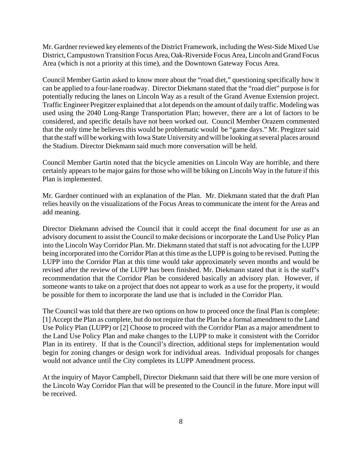Mr. Gardner reviewed key elements of the District Framework, including the West-Side Mixed Use District, Campustown Transition Focus Area, Oak-Riverside Focus Area, Lincoln and Grand Focus Area (which is not a priority at this time), and the Downtown Gateway Focus Area.

Council Member Gartin asked to know more about the "road diet," questioning specifically how it can be applied to a four-lane roadway. Director Diekmann stated that the "road diet" purpose is for potentially reducing the lanes on Lincoln Way as a result of the Grand Avenue Extension project. Traffic Engineer Pregitzer explained that a lot depends on the amount of daily traffic. Modeling was used using the 2040 Long-Range Transportation Plan; however, there are a lot of factors to be considered, and specific details have not been worked out. Council Member Orazem commented that the only time he believes this would be problematic would be "game days." Mr. Pregitzer said that the staff will be working with Iowa State University and will be looking at several places around the Stadium. Director Diekmann said much more conversation will be held.

Council Member Gartin noted that the bicycle amenities on Lincoln Way are horrible, and there certainly appears to be major gains for those who will be biking on Lincoln Way in the future if this Plan is implemented.

Mr. Gardner continued with an explanation of the Plan. Mr. Diekmann stated that the draft Plan relies heavily on the visualizations of the Focus Areas to communicate the intent for the Areas and add meaning.

Director Diekmann advised the Council that it could accept the final document for use as an advisory document to assist the Council to make decisions or incorporate the Land Use Policy Plan into the Lincoln Way Corridor Plan. Mr. Diekmann stated that staff is not advocating for the LUPP being incorporated into the Corridor Plan at this time as the LUPP is going to be revised. Putting the LUPP into the Corridor Plan at this time would take approximately seven months and would be revised after the review of the LUPP has been finished. Mr. Diekmann stated that it is the staff's recommendation that the Corridor Plan be considered basically an advisory plan. However, if someone wants to take on a project that does not appear to work as a use for the property, it would be possible for them to incorporate the land use that is included in the Corridor Plan.

The Council was told that there are two options on how to proceed once the final Plan is complete: [1] Accept the Plan as complete, but do not require that the Plan be a formal amendment to the Land Use Policy Plan (LUPP) or [2] Choose to proceed with the Corridor Plan as a major amendment to the Land Use Policy Plan and make changes to the LUPP to make it consistent with the Corridor Plan in its entirety. If that is the Council's direction, additional steps for implementation would begin for zoning changes or design work for individual areas. Individual proposals for changes would not advance until the City completes its LUPP Amendment process.

At the inquiry of Mayor Campbell, Director Diekmann said that there will be one more version of the Lincoln Way Corridor Plan that will be presented to the Council in the future. More input will be received.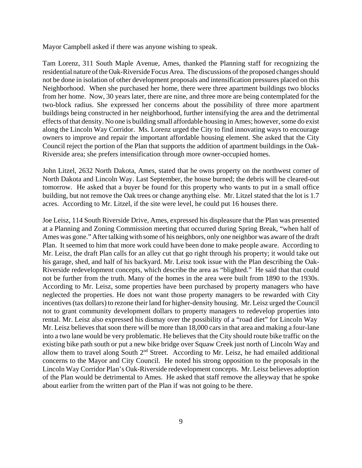Mayor Campbell asked if there was anyone wishing to speak.

Tam Lorenz, 311 South Maple Avenue, Ames, thanked the Planning staff for recognizing the residential nature of the Oak-Riverside Focus Area. The discussions of the proposed changes should not be done in isolation of other development proposals and intensification pressures placed on this Neighborhood. When she purchased her home, there were three apartment buildings two blocks from her home. Now, 30 years later, there are nine, and three more are being contemplated for the two-block radius. She expressed her concerns about the possibility of three more apartment buildings being constructed in her neighborhood, further intensifying the area and the detrimental effects of that density. No one is building small affordable housing in Ames; however, some do exist along the Lincoln Way Corridor. Ms. Lorenz urged the City to find innovating ways to encourage owners to improve and repair the important affordable housing element. She asked that the City Council reject the portion of the Plan that supports the addition of apartment buildings in the Oak-Riverside area; she prefers intensification through more owner-occupied homes.

John Litzel, 2632 North Dakota, Ames, stated that he owns property on the northwest corner of North Dakota and Lincoln Way. Last September, the house burned; the debris will be cleared-out tomorrow. He asked that a buyer be found for this property who wants to put in a small office building, but not remove the Oak trees or change anything else. Mr. Litzel stated that the lot is 1.7 acres. According to Mr. Litzel, if the site were level, he could put 16 houses there.

Joe Leisz, 114 South Riverside Drive, Ames, expressed his displeasure that the Plan was presented at a Planning and Zoning Commission meeting that occurred during Spring Break, "when half of Ames was gone." After talking with some of his neighbors, only one neighbor was aware of the draft Plan. It seemed to him that more work could have been done to make people aware. According to Mr. Leisz, the draft Plan calls for an alley cut that go right through his property; it would take out his garage, shed, and half of his backyard. Mr. Leisz took issue with the Plan describing the Oak-Riverside redevelopment concepts, which describe the area as "blighted." He said that that could not be further from the truth. Many of the homes in the area were built from 1890 to the 1930s. According to Mr. Leisz, some properties have been purchased by property managers who have neglected the properties. He does not want those property managers to be rewarded with City incentives (tax dollars) to rezone their land for higher-density housing. Mr. Leisz urged the Council not to grant community development dollars to property managers to redevelop properties into rental. Mr. Leisz also expressed his dismay over the possibility of a "road diet" for Lincoln Way Mr. Leisz believes that soon there will be more than 18,000 cars in that area and making a four-lane into a two lane would be very problematic. He believes that the City should route bike traffic on the existing bike path south or put a new bike bridge over Squaw Creek just north of Lincoln Way and allow them to travel along South 2nd Street. According to Mr. Leisz, he had emailed additional concerns to the Mayor and City Council. He noted his strong opposition to the proposals in the Lincoln Way Corridor Plan's Oak-Riverside redevelopment concepts. Mr. Leisz believes adoption of the Plan would be detrimental to Ames. He asked that staff remove the alleyway that he spoke about earlier from the written part of the Plan if was not going to be there.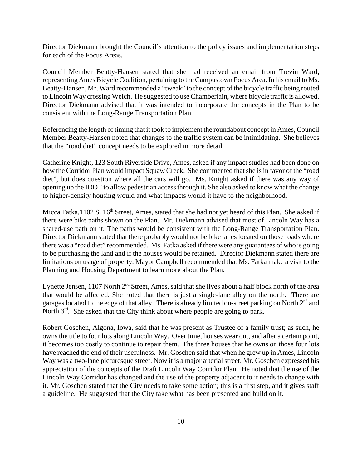Director Diekmann brought the Council's attention to the policy issues and implementation steps for each of the Focus Areas.

Council Member Beatty-Hansen stated that she had received an email from Trevin Ward, representing Ames Bicycle Coalition, pertaining to the Campustown Focus Area. In his email to Ms. Beatty-Hansen, Mr. Ward recommended a "tweak" to the concept of the bicycle traffic being routed to Lincoln Way crossing Welch. He suggested to use Chamberlain, where bicycle traffic is allowed. Director Diekmann advised that it was intended to incorporate the concepts in the Plan to be consistent with the Long-Range Transportation Plan.

Referencing the length of timing that it took to implement the roundabout concept in Ames, Council Member Beatty-Hansen noted that changes to the traffic system can be intimidating. She believes that the "road diet" concept needs to be explored in more detail.

Catherine Knight, 123 South Riverside Drive, Ames, asked if any impact studies had been done on how the Corridor Plan would impact Squaw Creek. She commented that she is in favor of the "road diet", but does question where all the cars will go. Ms. Knight asked if there was any way of opening up the IDOT to allow pedestrian access through it. She also asked to know what the change to higher-density housing would and what impacts would it have to the neighborhood.

Micca Fatka, 1102 S. 16<sup>th</sup> Street, Ames, stated that she had not vet heard of this Plan. She asked if there were bike paths shown on the Plan. Mr. Diekmann advised that most of Lincoln Way has a shared-use path on it. The paths would be consistent with the Long-Range Transportation Plan. Director Diekmann stated that there probably would not be bike lanes located on those roads where there was a "road diet" recommended. Ms. Fatka asked if there were any guarantees of who is going to be purchasing the land and if the houses would be retained. Director Diekmann stated there are limitations on usage of property. Mayor Campbell recommended that Ms. Fatka make a visit to the Planning and Housing Department to learn more about the Plan.

Lynette Jensen,  $1107$  North  $2<sup>nd</sup>$  Street, Ames, said that she lives about a half block north of the area that would be affected. She noted that there is just a single-lane alley on the north. There are garages located to the edge of that alley. There is already limited on-street parking on North 2<sup>nd</sup> and North  $3<sup>rd</sup>$ . She asked that the City think about where people are going to park.

Robert Goschen, Algona, Iowa, said that he was present as Trustee of a family trust; as such, he owns the title to four lots along Lincoln Way. Over time, houses wear out, and after a certain point, it becomes too costly to continue to repair them. The three houses that he owns on those four lots have reached the end of their usefulness. Mr. Goschen said that when he grew up in Ames, Lincoln Way was a two-lane picturesque street. Now it is a major arterial street. Mr. Goschen expressed his appreciation of the concepts of the Draft Lincoln Way Corridor Plan. He noted that the use of the Lincoln Way Corridor has changed and the use of the property adjacent to it needs to change with it. Mr. Goschen stated that the City needs to take some action; this is a first step, and it gives staff a guideline. He suggested that the City take what has been presented and build on it.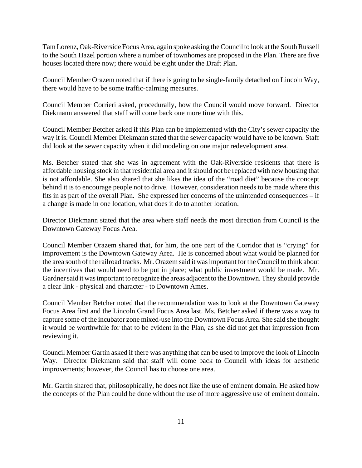Tam Lorenz, Oak-Riverside Focus Area, again spoke asking the Council to look at the South Russell to the South Hazel portion where a number of townhomes are proposed in the Plan. There are five houses located there now; there would be eight under the Draft Plan.

Council Member Orazem noted that if there is going to be single-family detached on Lincoln Way, there would have to be some traffic-calming measures.

Council Member Corrieri asked, procedurally, how the Council would move forward. Director Diekmann answered that staff will come back one more time with this.

Council Member Betcher asked if this Plan can be implemented with the City's sewer capacity the way it is. Council Member Diekmann stated that the sewer capacity would have to be known. Staff did look at the sewer capacity when it did modeling on one major redevelopment area.

Ms. Betcher stated that she was in agreement with the Oak-Riverside residents that there is affordable housing stock in that residential area and it should not be replaced with new housing that is not affordable. She also shared that she likes the idea of the "road diet" because the concept behind it is to encourage people not to drive. However, consideration needs to be made where this fits in as part of the overall Plan. She expressed her concerns of the unintended consequences – if a change is made in one location, what does it do to another location.

Director Diekmann stated that the area where staff needs the most direction from Council is the Downtown Gateway Focus Area.

Council Member Orazem shared that, for him, the one part of the Corridor that is "crying" for improvement is the Downtown Gateway Area. He is concerned about what would be planned for the area south of the railroad tracks. Mr. Orazem said it was important for the Council to think about the incentives that would need to be put in place; what public investment would be made. Mr. Gardner said it was important to recognize the areas adjacent to the Downtown. They should provide a clear link - physical and character - to Downtown Ames.

Council Member Betcher noted that the recommendation was to look at the Downtown Gateway Focus Area first and the Lincoln Grand Focus Area last. Ms. Betcher asked if there was a way to capture some of the incubator zone mixed-use into the Downtown Focus Area. She said she thought it would be worthwhile for that to be evident in the Plan, as she did not get that impression from reviewing it.

Council Member Gartin asked if there was anything that can be used to improve the look of Lincoln Way. Director Diekmann said that staff will come back to Council with ideas for aesthetic improvements; however, the Council has to choose one area.

Mr. Gartin shared that, philosophically, he does not like the use of eminent domain. He asked how the concepts of the Plan could be done without the use of more aggressive use of eminent domain.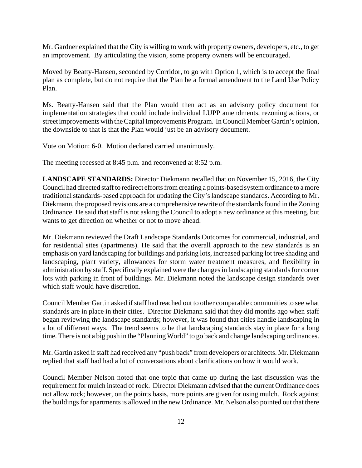Mr. Gardner explained that the City is willing to work with property owners, developers, etc., to get an improvement. By articulating the vision, some property owners will be encouraged.

Moved by Beatty-Hansen, seconded by Corridor, to go with Option 1, which is to accept the final plan as complete, but do not require that the Plan be a formal amendment to the Land Use Policy Plan.

Ms. Beatty-Hansen said that the Plan would then act as an advisory policy document for implementation strategies that could include individual LUPP amendments, rezoning actions, or street improvements with the Capital Improvements Program. In Council Member Gartin's opinion, the downside to that is that the Plan would just be an advisory document.

Vote on Motion: 6-0. Motion declared carried unanimously.

The meeting recessed at 8:45 p.m. and reconvened at 8:52 p.m.

**LANDSCAPE STANDARDS:** Director Diekmann recalled that on November 15, 2016, the City Council had directed staff to redirect efforts from creating a points-based system ordinance to a more traditional standards-based approach for updating the City's landscape standards. According to Mr. Diekmann, the proposed revisions are a comprehensive rewrite of the standards found in the Zoning Ordinance. He said that staff is not asking the Council to adopt a new ordinance at this meeting, but wants to get direction on whether or not to move ahead.

Mr. Diekmann reviewed the Draft Landscape Standards Outcomes for commercial, industrial, and for residential sites (apartments). He said that the overall approach to the new standards is an emphasis on yard landscaping for buildings and parking lots, increased parking lot tree shading and landscaping, plant variety, allowances for storm water treatment measures, and flexibility in administration by staff. Specifically explained were the changes in landscaping standards for corner lots with parking in front of buildings. Mr. Diekmann noted the landscape design standards over which staff would have discretion.

Council Member Gartin asked if staff had reached out to other comparable communities to see what standards are in place in their cities. Director Diekmann said that they did months ago when staff began reviewing the landscape standards; however, it was found that cities handle landscaping in a lot of different ways. The trend seems to be that landscaping standards stay in place for a long time. There is not a big push in the "Planning World" to go back and change landscaping ordinances.

Mr. Gartin asked if staff had received any "push back" from developers or architects. Mr. Diekmann replied that staff had had a lot of conversations about clarifications on how it would work.

Council Member Nelson noted that one topic that came up during the last discussion was the requirement for mulch instead of rock. Director Diekmann advised that the current Ordinance does not allow rock; however, on the points basis, more points are given for using mulch. Rock against the buildings for apartments is allowed in the new Ordinance. Mr. Nelson also pointed out that there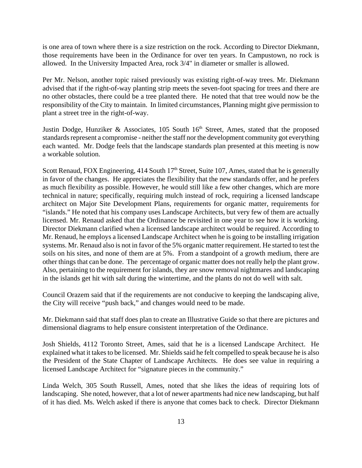is one area of town where there is a size restriction on the rock. According to Director Diekmann, those requirements have been in the Ordinance for over ten years. In Campustown, no rock is allowed. In the University Impacted Area, rock 3/4" in diameter or smaller is allowed.

Per Mr. Nelson, another topic raised previously was existing right-of-way trees. Mr. Diekmann advised that if the right-of-way planting strip meets the seven-foot spacing for trees and there are no other obstacles, there could be a tree planted there. He noted that that tree would now be the responsibility of the City to maintain. In limited circumstances, Planning might give permission to plant a street tree in the right-of-way.

Justin Dodge, Hunziker & Associates, 105 South  $16<sup>th</sup>$  Street, Ames, stated that the proposed standards represent a compromise - neither the staff nor the development community got everything each wanted. Mr. Dodge feels that the landscape standards plan presented at this meeting is now a workable solution.

Scott Renaud, FOX Engineering, 414 South  $17<sup>th</sup>$  Street, Suite 107, Ames, stated that he is generally in favor of the changes. He appreciates the flexibility that the new standards offer, and he prefers as much flexibility as possible. However, he would still like a few other changes, which are more technical in nature; specifically, requiring mulch instead of rock, requiring a licensed landscape architect on Major Site Development Plans, requirements for organic matter, requirements for "islands." He noted that his company uses Landscape Architects, but very few of them are actually licensed. Mr. Renaud asked that the Ordinance be revisited in one year to see how it is working. Director Diekmann clarified when a licensed landscape architect would be required. According to Mr. Renaud, he employs a licensed Landscape Architect when he is going to be installing irrigation systems. Mr. Renaud also is not in favor of the 5% organic matter requirement. He started to test the soils on his sites, and none of them are at 5%. From a standpoint of a growth medium, there are other things that can be done. The percentage of organic matter does not really help the plant grow. Also, pertaining to the requirement for islands, they are snow removal nightmares and landscaping in the islands get hit with salt during the wintertime, and the plants do not do well with salt.

Council Orazem said that if the requirements are not conducive to keeping the landscaping alive, the City will receive "push back," and changes would need to be made.

Mr. Diekmann said that staff does plan to create an Illustrative Guide so that there are pictures and dimensional diagrams to help ensure consistent interpretation of the Ordinance.

Josh Shields, 4112 Toronto Street, Ames, said that he is a licensed Landscape Architect. He explained what it takes to be licensed. Mr. Shields said he felt compelled to speak because he is also the President of the State Chapter of Landscape Architects. He does see value in requiring a licensed Landscape Architect for "signature pieces in the community."

Linda Welch, 305 South Russell, Ames, noted that she likes the ideas of requiring lots of landscaping. She noted, however, that a lot of newer apartments had nice new landscaping, but half of it has died. Ms. Welch asked if there is anyone that comes back to check. Director Diekmann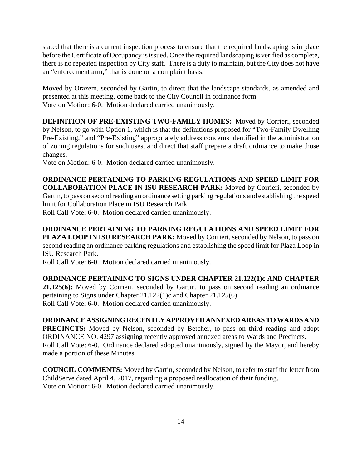stated that there is a current inspection process to ensure that the required landscaping is in place before the Certificate of Occupancy is issued. Once the required landscaping is verified as complete, there is no repeated inspection by City staff. There is a duty to maintain, but the City does not have an "enforcement arm;" that is done on a complaint basis.

Moved by Orazem, seconded by Gartin, to direct that the landscape standards, as amended and presented at this meeting, come back to the City Council in ordinance form. Vote on Motion: 6-0. Motion declared carried unanimously.

**DEFINITION OF PRE-EXISTING TWO-FAMILY HOMES:** Moved by Corrieri, seconded by Nelson, to go with Option 1, which is that the definitions proposed for "Two-Family Dwelling Pre-Existing," and "Pre-Existing" appropriately address concerns identified in the administration of zoning regulations for such uses, and direct that staff prepare a draft ordinance to make those changes.

Vote on Motion: 6-0. Motion declared carried unanimously.

**ORDINANCE PERTAINING TO PARKING REGULATIONS AND SPEED LIMIT FOR COLLABORATION PLACE IN ISU RESEARCH PARK:** Moved by Corrieri, seconded by Gartin, to pass on second reading an ordinance setting parking regulations and establishing the speed limit for Collaboration Place in ISU Research Park.

Roll Call Vote: 6-0. Motion declared carried unanimously.

**ORDINANCE PERTAINING TO PARKING REGULATIONS AND SPEED LIMIT FOR PLAZA LOOP IN ISU RESEARCH PARK:** Moved by Corrieri, seconded by Nelson, to pass on second reading an ordinance parking regulations and establishing the speed limit for Plaza Loop in ISU Research Park.

Roll Call Vote: 6-0. Motion declared carried unanimously.

**ORDINANCE PERTAINING TO SIGNS UNDER CHAPTER 21.122(1)c AND CHAPTER 21.125(6):** Moved by Corrieri, seconded by Gartin, to pass on second reading an ordinance pertaining to Signs under Chapter 21.122(1)c and Chapter 21.125(6)

Roll Call Vote: 6-0. Motion declared carried unanimously.

## **ORDINANCE ASSIGNING RECENTLY APPROVED ANNEXED AREAS TO WARDS AND**

**PRECINCTS:** Moved by Nelson, seconded by Betcher, to pass on third reading and adopt ORDINANCE NO. 4297 assigning recently approved annexed areas to Wards and Precincts. Roll Call Vote: 6-0. Ordinance declared adopted unanimously, signed by the Mayor, and hereby made a portion of these Minutes.

**COUNCIL COMMENTS:** Moved by Gartin, seconded by Nelson, to refer to staff the letter from ChildServe dated April 4, 2017, regarding a proposed reallocation of their funding. Vote on Motion: 6-0. Motion declared carried unanimously.